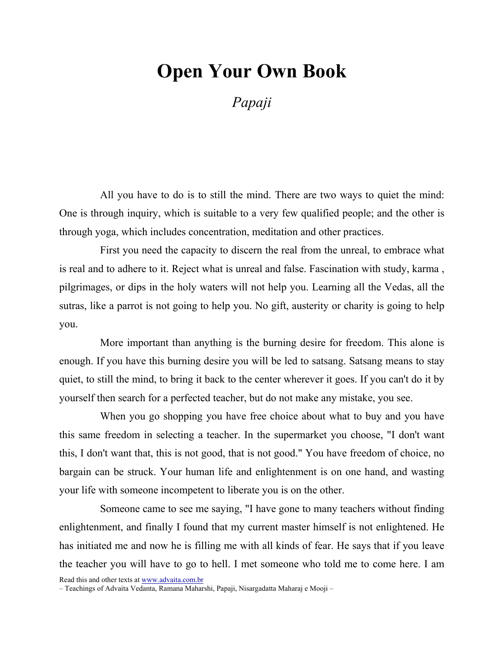## Open Your Own Book

Papaji

All you have to do is to still the mind. There are two ways to quiet the mind: One is through inquiry, which is suitable to a very few qualified people; and the other is through yoga, which includes concentration, meditation and other practices.

First you need the capacity to discern the real from the unreal, to embrace what is real and to adhere to it. Reject what is unreal and false. Fascination with study, karma , pilgrimages, or dips in the holy waters will not help you. Learning all the Vedas, all the sutras, like a parrot is not going to help you. No gift, austerity or charity is going to help you.

More important than anything is the burning desire for freedom. This alone is enough. If you have this burning desire you will be led to satsang. Satsang means to stay quiet, to still the mind, to bring it back to the center wherever it goes. If you can't do it by yourself then search for a perfected teacher, but do not make any mistake, you see.

When you go shopping you have free choice about what to buy and you have this same freedom in selecting a teacher. In the supermarket you choose, "I don't want this, I don't want that, this is not good, that is not good." You have freedom of choice, no bargain can be struck. Your human life and enlightenment is on one hand, and wasting your life with someone incompetent to liberate you is on the other.

Someone came to see me saying, "I have gone to many teachers without finding enlightenment, and finally I found that my current master himself is not enlightened. He has initiated me and now he is filling me with all kinds of fear. He says that if you leave the teacher you will have to go to hell. I met someone who told me to come here. I am

Read this and other texts at www.advaita.com.br

– Teachings of Advaita Vedanta, Ramana Maharshi, Papaji, Nisargadatta Maharaj e Mooji –